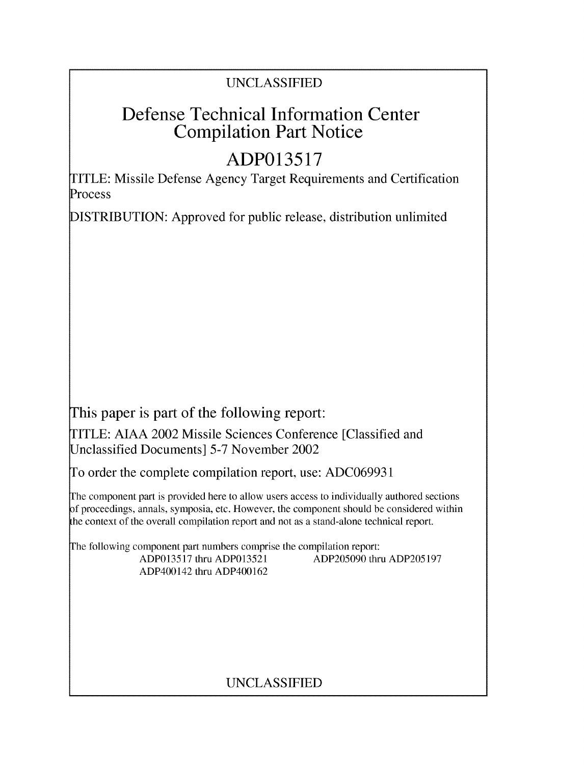# Defense Technical Information Center Compilation Part Notice

# **ADP013517**

TITLE: Missile Defense Agency Target Requirements and Certification Process

DISTRIBUTION: Approved for public release, distribution unlimited

This paper is part of the following report:

TITLE: AIAA 2002 Missile Sciences Conference [Classified and Unclassified Documents] 5-7 November 2002

To order the complete compilation report, use: ADC069931

The component part is provided here to allow users access to individually authored sections f proceedings, annals, symposia, etc. However, the component should be considered within the context of the overall compilation report and not as a stand-alone technical report.

The following component part numbers comprise the compilation report:

ADP400142 thru ADP400162

ADP013517 thru ADP013521 ADP205090 thru ADP205197

# UNCLASSIFIED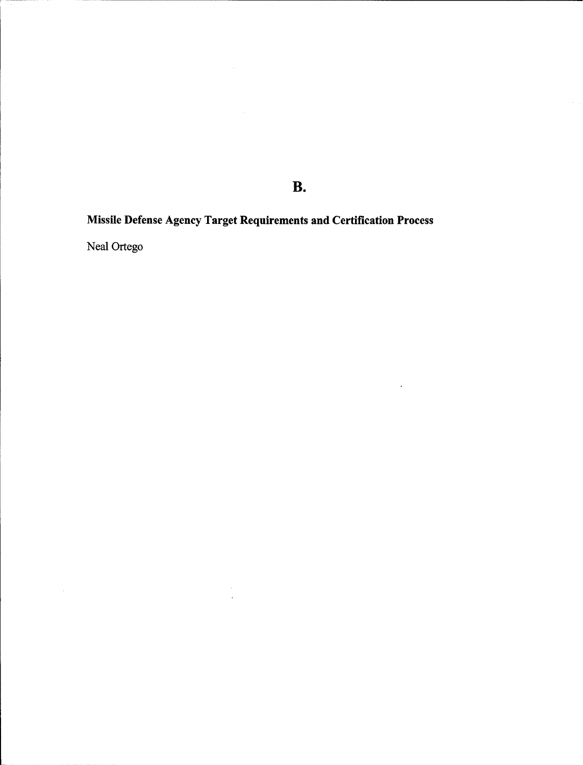**B.**

 $\sim 10^{11}$ 

Missile Defense Agency Target Requirements and Certification Process

 $\label{eq:2.1} \begin{array}{l} \mathcal{L}_{\mathcal{A}}(\mathcal{A})=\mathcal{L}_{\mathcal{A}}(\mathcal{A})\\ \mathcal{L}_{\mathcal{A}}(\mathcal{A})=\mathcal{L}_{\mathcal{A}}(\mathcal{A})\\ \mathcal{L}_{\mathcal{A}}(\mathcal{A})=\mathcal{L}_{\mathcal{A}}(\mathcal{A})\\ \mathcal{L}_{\mathcal{A}}(\mathcal{A})=\mathcal{L}_{\mathcal{A}}(\mathcal{A})\\ \mathcal{L}_{\mathcal{A}}(\mathcal{A})=\mathcal{L}_{\mathcal{A}}(\mathcal{A})\\ \mathcal{L}_{\mathcal{A}}(\mathcal{A})=\$ 

Neal Ortego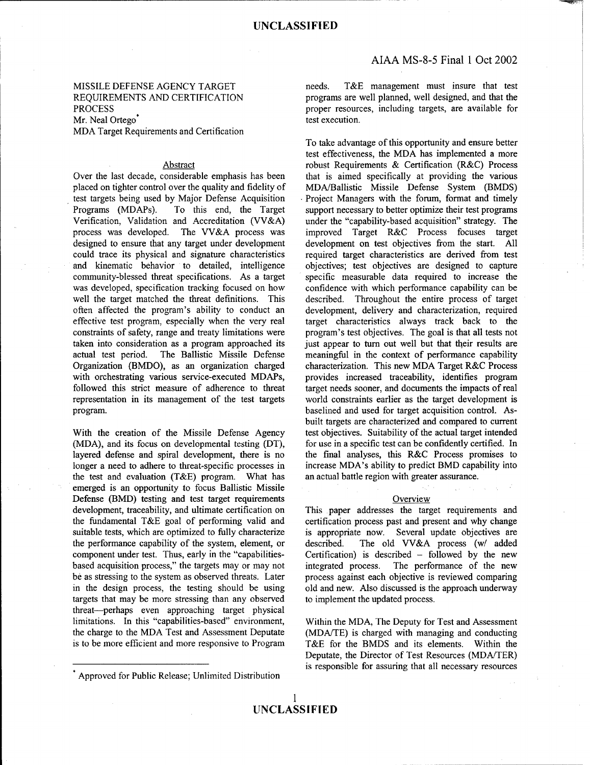# Mr. Neal Ortego<sup>\*</sup> test execution.

## MDA Target Requirements and Certification

placed on tighter control over the quality and fidelity of MDA/Ballistic Missile Defense System (BMDS) test targets being used by Major Defense Acquisition Project Managers with the forum, format and timely test targets being used by Major Defense Acquisition Programs (MDAPs). To this end, the Target Programs (MDAPs). To this end, the Target support necessary to better optimize their test programs<br>Verification, Validation and Accreditation (VV&A) under the "capability-based acquisition" strategy. The Verification, Validation and Accreditation (VV&A) under the "capability-based acquisition" strategy. The process was developed. The VV&A process was improved Target R&C Process focuses target process was developed. The VV&A process was designed to ensure that any target under development development on test objectives from the start. All could trace its physical and signature characteristics required target characteristics are derived from test and kinematic behavior to detailed, intelligence objectives; test objectives are designed to capture community-blessed threat specifications. As a target specific measurable data required to increase the community-blessed threat specifications. As a target specific measurable data required to increase the was developed, specification tracking focused on how confidence with which performance capability can be was developed, specification tracking focused on how well the target matched the threat definitions. This described. Throughout the entire process of target often affected the program's ability to conduct an development, delivery and characterization, required often affected the program's ability to conduct an development, delivery and characterization, required effective test program, especially when the very real target characteristics always track back to the effective test program, especially when the very real constraints of safety, range and treaty limitations were program's test objectives. The goal is that all tests not taken into consideration as a program approached its just appear to turn out well but that their results are actual test period. The Ballistic Missile Defense meaningful in the context of performance capability actual test period. The Ballistic Missile Defense meaningful in the context of performance capability Organization (BMDO), as an organization charged characterization. This new MDA Target R&C Process with orchestrating various service-executed MDAPs, provides increased traceability, identifies program followed this strict measure of adherence to threat target needs sooner, and documents the impacts of real representation in its management of the test targets world constraints earlier as the target development is program. baselined and used for target acquisition control. As-

(MDA), and its focus on developmental testing  $(DT)$ , layered defense and spiral development, there is no the final analyses, this R&C Process promises to longer a need to adhere to threat-specific processes in increase MDA's ability to predict BMD capability into the test and evaluation (T&E) program. What has an actual battle region with greater assurance. emerged is an opportunity to focus Ballistic Missile Defense (BMD) testing and test target requirements Overview development, traceability, and ultimate certification on This paper addresses the target requirements and the fundamental T&E goal of performing valid and certification process past and present and why change suitable tests, which are optimized to fully characterize is appropriate now. Several update objectives are the performance capability of the system, element, or described. The old VV&A process (w/ added component under test. Thus, early in the "capabilities-<br>Certification) is described - followed by the new based acquisition process," the targets may or may not integrated process. The performance of the new be as stressing to the system as observed threats. Later process against each objective is reviewed comparing in the design process, the testing should be using old and new. Also discussed is the approach underway targets that may be more stressing than any observed to implement the updated process. threat-perhaps even approaching target physical limitations. In this "capabilities-based" environment, Within the MDA, The Deputy for Test and Assessment the charge to the MDA Test and Assessment Deputate (MDA/TE) is charged with managing and conducting

MISSILE DEFENSE AGENCY TARGET needs. T&E management must insure that test REQUIREMENTS AND CERTIFICATION programs are well planned, well designed, and that the PROCESS proper resources, including targets, are available for

To take advantage of this opportunity and ensure better test effectiveness, the MDA has implemented a more Abstract robust Requirements **&** Certification (R&C) Process Over the last decade, considerable emphasis has been that is aimed specifically at providing the various built targets are characterized and compared to current With the creation of the Missile Defense Agency test objectives. Suitability of the actual target intended (MDA), and its focus on developmental testing (DT), for use in a specific test can be confidently certified. In

is to be more efficient and more responsive to Program T&E for the BMDS and its elements. Within the Deputate, the Director of Test Resources (MDA/TER) is responsible for assuring that all necessary resources

<sup>\*</sup> Approved for Public Release; Unlimited Distribution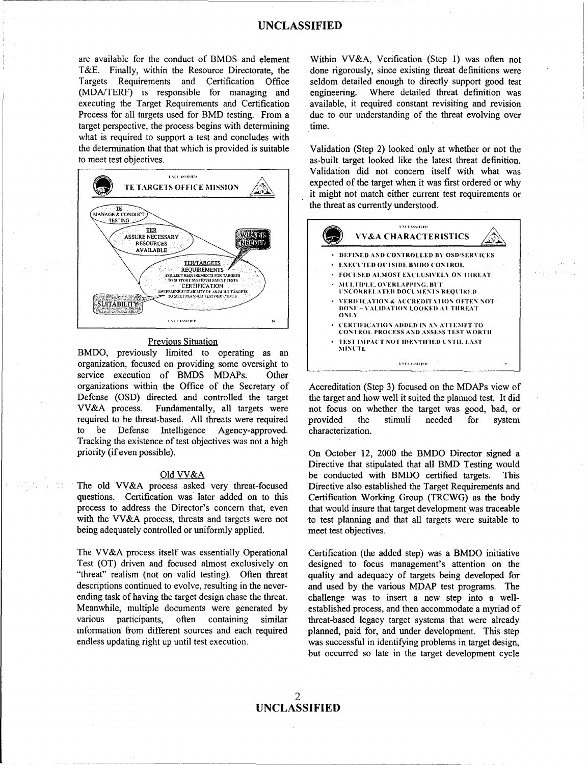are available for the conduct of BMDS and element T&E. Finally, within the Resource Directorate, the Targets Requirements and Certification Office (MDA/TERF) is responsible for managing and executing the Target Requirements and Certification Process for all targets used for BMD testing. From a target perspective, the process begins with determining what is required to support a test and concludes with the determination that that which is provided is suitable to meet test objectives.



## **Previous Situation**

BMDO, previously limited to operating as an organization, focused on providing some oversight to service execution of BMDS MDAPs. Other organizations within the Office of the Secretary of Defense (OSD) directed and controlled the target VV&A process. Fundamentally, all targets were required to be threat-based. All threats were required be Defense Intelligence to Agency-approved. Tracking the existence of test objectives was not a high priority (if even possible).

## Old VV&A

The old VV&A process asked very threat-focused questions. Certification was later added on to this process to address the Director's concern that, even with the VV&A process, threats and targets were not being adequately controlled or uniformly applied.

The VV&A process itself was essentially Operational Test (OT) driven and focused almost exclusively on "threat" realism (not on valid testing). Often threat descriptions continued to evolve, resulting in the neverending task of having the target design chase the threat. Meanwhile, multiple documents were generated by various participants, often containing similar information from different sources and each required endless updating right up until test execution.

Within VV&A, Verification (Step 1) was often not done rigorously, since existing threat definitions were seldom detailed enough to directly support good test Where detailed threat definition was engineering. available, it required constant revisiting and revision due to our understanding of the threat evolving over time.

Validation (Step 2) looked only at whether or not the as-built target looked like the latest threat definition. Validation did not concern itself with what was expected of the target when it was first ordered or why it might not match either current test requirements or the threat as currently understood.



Accreditation (Step 3) focused on the MDAPs view of the target and how well it suited the planned test. It did not focus on whether the target was good, bad, or provided the stimuli needed for system characterization.

On October 12, 2000 the BMDO Director signed a Directive that stipulated that all BMD Testing would be conducted with BMDO certified targets. **This** Directive also established the Target Requirements and Certification Working Group (TRCWG) as the body that would insure that target development was traceable to test planning and that all targets were suitable to meet test objectives.

Certification (the added step) was a BMDO initiative designed to focus management's attention on the quality and adequacy of targets being developed for and used by the various MDAP test programs. The challenge was to insert a new step into a wellestablished process, and then accommodate a myriad of threat-based legacy target systems that were already planned, paid for, and under development. This step was successful in identifying problems in target design, but occurred so late in the target development cycle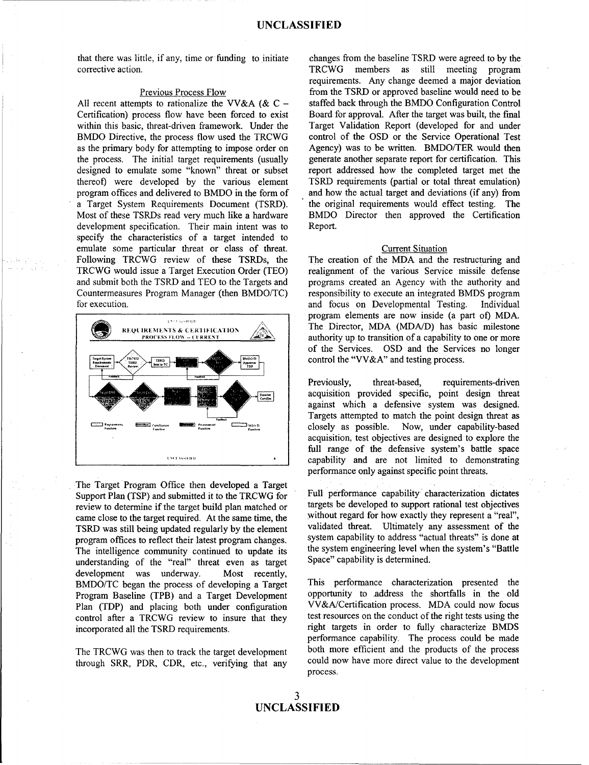that there was little, if any, time or funding to initiate changes from the baseline TSRD were agreed to by the corrective action. TRCWG members as still meeting program

Certification) process flow have been forced to exist Board for approval. After the target was built, the final within this basic, threat-driven framework. Under the Target Validation Report (developed for and under BMDO Directive, the process flow used the TRCWG control of the OSD or the Service Operational Test BMDO Directive, the process flow used the TRCWG control of the OSD or the Service Operational Test as the primary body for attempting to impose order on Agency) was to be written. BMDO/TER would then as the primary body for attempting to impose order on Agency) was to be written. BMDO/TER would then the process. The initial target requirements (usually generate another separate report for certification. This the process. The initial target requirements (usually generate another separate report for certification. This designed to emulate some "known" threat or subset report addressed how the completed target met the designed to emulate some "known" threat or subset thereof) were developed by the various element TSRD requirements (partial or total threat emulation) program offices and delivered to BMDO in the form of and how the actual target and deviations (if any) from program offices and delivered to BMDO in the form of a Target System Requirements Document (TSRD). the original requirements would effect testing. The Most of these TSRDs read very much like a hardware BMDO Director then approved the Certification Most of these TSRDs read very much like a hardware development specification. Their main intent was to Report. specify the characteristics of a target intended to emulate some particular threat or class of threat. Current Situation Following TRCWG review of these TSRDs, the The creation of the MDA and the restructuring and TRCWG would issue a Target Execution Order (TEO) realignment of the various Service missile defense and submit both the TSRD and TEO to the Targets and programs created an Agency with the authority and Countermeasures Program Manager (then BMDO/TC) responsibility to execute an integrated BMDS program for execution. and focus on Developmental Testing. Individual



The Target Program Office then developed a Target Support Plan (TSP) and submitted it to the TRCWG for Full performance capability characterization dictates review to determine if the target huild plan matched or targets be developed to support rational test objectives review to determine if the target build plan matched or came close to the target required. At the same time, the without regard for how exactly they represent a "real", TSRD was still being updated regularly by the element validated threat. Ultimately any assessment of the program offices to reflect their latest program changes system capability to address "actual threats" is done at program offices to reflect their latest program changes. System capability to address "actual threats" is done at<br>The intelligence community continued to undate its the system engineering level when the system's "Battle" The intelligence community continued to update its the system engineering level when the system engineering level when the system of the system of the system in the system in the system in the system in the system of the s understanding of the "real" threat even as target development was underway. Most recently, BMDO/TC began the process of developing a Target This performance characterization presented the<br>Program Baseline (TPB) and a Target Development opportunity to address the shortfalls in the old Program Baseline (TPB) and a Target Development Plan (TDP) and placing both under configuration VV&A/Certification process. MDA could now focus control after a TRCWG review to insure that they test resources on the conduct of the right tests using the incorporated all the TSRD requirements. right targets in order to fully characterize BMDS

through SRR, PDR, CDR, etc., verifying that any

requirements. Any change deemed a major deviation Previous Process Flow from the TSRD or approved baseline would need to be All recent attempts to rationalize the VV&A ( $& C -$  staffed back through the BMDO Configuration Control

program elements are now inside (a part of) MDA. **REQUIREMENTS & CERTIFICATION** AND The Director, MDA (MDA/D) has basic milestone authority up to transition of a capability to one or more of the Services. OSD and the Services no longer control the "VV&A" and testing process.

> Previously, threat-based, requirements-driven acquisition provided specific, point design threat against which a defensive system was designed. Targets attempted to match the point design threat as closely as possible. Now, under capability-based acquisition, test objectives are designed to explore the full range of the defensive system's battle space capability and are not limited to demonstrating performance only against specific point threats.

performance capability. The process could be made The TRCWG was then to track the target development both more efficient and the products of the process through SBB BDB CDB atc. verificing that any could now have more direct value to the development process.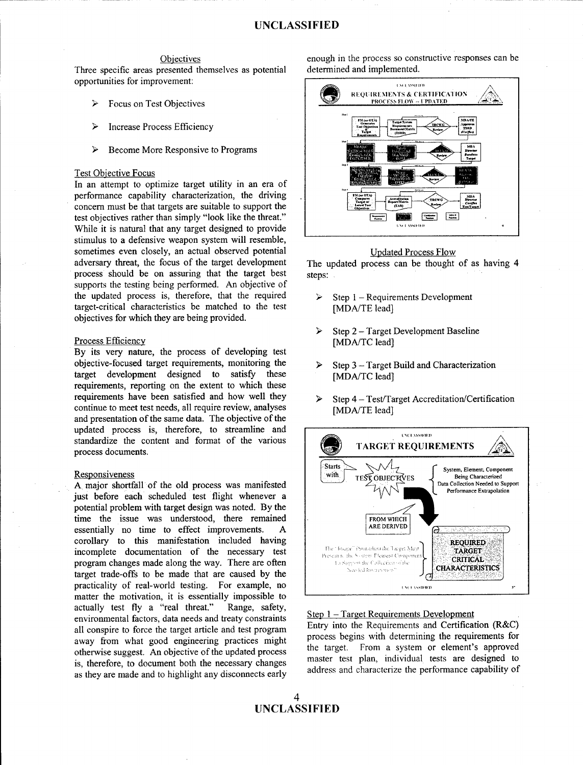Three specific areas presented themselves as potential opportunities for improvement:

- ↘  $Focus on Test Obiectives$
- Increase Process Efficiency
- **<sup>30</sup>**Become More Responsive to Programs

## Test Obiective Focus

In an attempt to optimize target utility in an era of performance capability characterization, the driving concern must be that targets are suitable to support the test objectives rather than simply "look like the threat." While it is natural that any target designed to provide stimulus to a defensive weapon system will resemble, sometimes even closely, an actual observed potential<br>adversary threat, the focus of the target development<br>The undated process can be thought process should be on assuring that the target best steps: supports the testing being performed. An objective of the updated process is, therefore, that the required  $\triangleright$  Step 1 - Requirements Development target-critical characteristics be matched to the test [MDA/TE lead] objectives for which they are being provided.

## Process Efficiency

By its very nature, the process of developing test objective-focused target requirements, monitoring the  $\rightarrow$  Step 3 - Target Build and Characterization target development designed to satisfy these [MDA/TC lead] requirements, reporting on the extent to which these requirements have been satisfied and how well they > Step **4-** Test/Target Accreditation/Certification continue to meet test needs, all require review, analyses **[MDA/TE** lead] and presentation of the same data. The objective of the updated process is, therefore, to streamline and standardize the content and format of the various **......** process documents. **0k. IARGET REQUIREMENTS**

just before each scheduled test flight whenever a potential problem with target design was noted. By the time the issue was understood, there remained **FROM WHICH** essentially no time to effect improvements. A corollary to this manifestation included having **REQUIRED incomplete documentation of the necessary test TARGET**<br> **Exercise the Sales Component Component Component Component Component Component Component Component Component** program changes made along the way. There are often<br>target trade-offs to be made that are caused by the Jacobs humanoned practicality of real-world testing. For example, no matter the motivation, it is essentially impossible to actually test fly a "real threat." Range, safety, environmental factors, data needs and treaty constraints Step  $1 - Target Requirements Development$ <br>
Entry into the Requirements and Certification (R&C) all conspire to force the target article and test program Entry into the Requirements and Certification (R&C) away from what good engineering practices might process begins with determining the requirements for a system or element's approved otherwise suggest. An objective of the updated process the target. From a system or element's approved<br>is therefore to decument both the necessary changes master test plan, individual tests are designed to is, therefore, to document both the necessary changes master test plan, individual tests are designed to address and characterize the performance capability of as they are made and to highlight any disconnects early

Objectives<br>
enough in the process so constructive responses can be<br>
resented themselves as notential determined and implemented.



The updated process can be thought of as having 4

- 
- $\triangleright$  Step 2 Target Development Baseline<br>[MDA/TC lead]
- 
- 

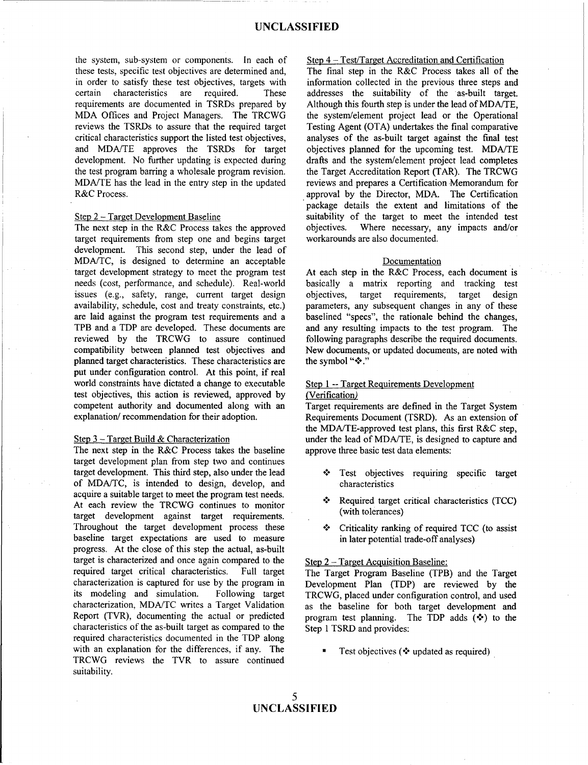the system, sub-system or components. In each of Step 4 – Test/Target Accreditation and Certification<br>these tests, specific test objectives are determined and. The final step in the R&C Process takes all of the these tests, specific test objectives are determined and, in order to satisfy these test objectives, targets with in order to satisfy these test objectives, targets with information collected in the previous three steps and certain characteristics are required. These addresses the suitability of the as-built target. certain characteristics are required. These addresses the suitability of the as-built target.<br>requirements are documented in TSRDs prepared by Although this fourth step is under the lead of MDA/TE. requirements are documented in TSRDs prepared by Although this fourth step is under the lead of MDA/TE,<br>MDA Offices and Project Managers. The TRCWG the system/element project lead or the Operational MDA Offices and Project Managers. The TRCWG the system/element project lead or the Operational reviews the TSRDs to assure that the required target Testing Agent (OTA) undertakes the final comparative reviews the TSRDs to assure that the required target Testing Agent (OTA) undertakes the final comparative critical characteristics support the listed test objectives, analyses of the as-built target against the final test critical characteristics support the listed test objectives, analyses of the as-built target against the final test and MDA/TE approves the TSRDs for target objectives planned for the upcoming test. MDA/TE and MDA/TE approves the TSRDs for target objectives planned for the upcoming test. MDA/TE development. No further updating is expected during drafts and the system/element project lead completes development. No further updating is expected during drafts and the system/element project lead completes the test program barring a wholesale program revision. the Target Accreditation Report (TAR). The TRCWG the test program barring a wholesale program revision. the Target Accreditation Report (TAR). The TRCWG MDA/TE has the lead in the entry step in the updated reviews and prepares a Certification Memorandum for R&C Process. The Certification approval by the Director, MDA. The Certification

target requirements from step one and begins target development. This second step, under the lead of MDA/TC, is designed to determine an acceptable Documentation target development strategy to meet the program test At each step in the R&C Process, each document is needs (cost, performance, and schedule). Real-world basically a matrix reporting and tracking test issues (e.g., safety, range, current target design objectives, target requirements, target design availability, schedule cost and treaty constraints, etc.) parameters, any subsequent changes in any of these are laid against the program test requirements and a baselined "specs", the rationale behind the changes, TPB and a TDP are developed. These documents are and any resulting impacts to the test program. The reviewed by the TRCWG to assure continued following paragraphs describe the required documents. compatibility between planned test objectives and New documents, or updated documents, are noted with planned target characteristics. These characteristics are the symbol " $*$ ." put under configuration control. At this point, if real world constraints have dictated a change to executable Step 1 -- Target Requirements Development test objectives, this action is reviewed, approved by (Verification) competent authority and documented along with an Target requirements are defined in the Target System explanation/ recommendation for their adoption. Requirements Document (TSRD). As an extension of

The next step in the R&C Process takes the baseline approve three basic test data elements: target development plan from step two and continues target development. This third step, also under the lead  $\cdot \cdot$  Test objectives requiring specific target of MDA/TC, is intended to design, develop, and characteristics acquire a suitable target to meet the program test needs.<br>At each review the TPCWG continues to mention  $\bullet$  Required target critical characteristics (TCC) At each review the TRCWG continues to monitor with tolerances (with tolerances) target development against target requirements. Throughout the target development process these  $\cdot \cdot \cdot$  Criticality ranking of required TCC (to assist baseline target expectations are used to measure in later potential trade-off analyses) progress. At the close of this step the actual, as-built target is characterized and once again compared to the  $S_{\text{tep 2}-\text{Target Acquisition Baseline}}$ required target critical characteristics. Full target The Target Program Baseline (TPB) and the Target characterization is captured for use by the program in Development Plan (TDP) are reviewed by the its modeling and simulation. Following target TRCWG, placed under configuration control, and used characterization, MDA/TC writes a Target Validation as the baseline for both target development and Report (TVR), documenting the actual or predicted program test planning. The TDP adds  $(\diamondsuit)$  to the characteristics of the as-built target as compared to the Step 1 TSRD and provides: required characteristics documented in the TDP along with an explanation for the differences, if any. The  $\blacksquare$  Test objectives  $(\mathbf{\textit{(*)}}\text{ updated as required})$ TRCWG reviews the TVR to assure continued suitability.

reviews and prepares a Certification Memorandum for package details the extent and limitations of the Step 2 – Target Development Baseline suitability of the target to meet the intended test<br>The next step in the R&C Process takes the approved objectives. Where necessary, any impacts and/or The next step in the R&C Process takes the approved objectives. Where necessary, any impacts and/or target requirements from step one and begins target workarounds are also documented.

parameters, any subsequent changes in any of these

the MDA/TE-approved test plans, this first R&C step, Step 3 - Target Build & Characterization under the lead of MDA/TE, is designed to capture and

- 
- 
-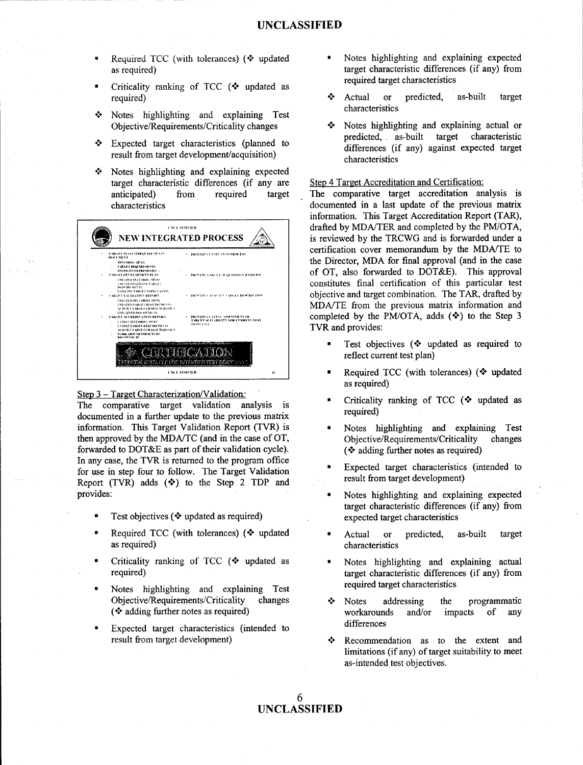- 
- Criticality ranking of TCC ( $\cdot$  updated as
- **the State of the Characteristics**<br>  $\bullet$  Notes highlighting and explaining Test<br>
Chiective/Requirements/Criticality changes<br>  $\bullet$  Notes highlighting and explaining actual or Objective/Requirements/Criticality changes <sup>◆</sup>
- ❖
- $\cdot$  Notes highlighting and explaining expected target characteristic differences (if any are Step 4 Target Accreditation and Certification:



The comparative target validation analysis is documented in a further update to the previous matrix required) information. This Target Validation Report (TVR) is \* Notes highlighting and explaining Test then approved by the MDA/TC (and in the case of OT, Objective/Requirements/Criticality changes forwarded to DOT&E as part of their validation cycle). **(\*** adding further notes as required) In any case, the TVR is returned to the program office for use in step four to follow. The Target Validation  $\mathbf{F}$  Expected target characteristics (intended to for use in step for  $\mathbf{F}$ ) and  $\mathbf{F}$  result from target development) Report (TVR) adds  $(\diamondsuit)$  to the Step 2 TDP and provides:  $\blacksquare$  Notes highlighting and explaining expected

- Test objectives ( $\Diamond$  updated as required) expected target characteristics
- Required TCC (with tolerances)  $\ll$  updated  $\ll$  Actual or predicted, as-built target as required) characteristics
- Criticality ranking of TCC (\* updated as \* Notes highlighting and explaining actual
- Notes highlighting and explaining Test required target characteristics Objective/Requirements/Criticality changes  $\cdot \cdot \cdot$  Notes addressing the programmatic
- Expected target characteristics (intended to differences
- Required TCC (with tolerances)  $\leftrightarrow$  updated  $\bullet$  Notes highlighting and explaining expected as required) target characteristic differences (if any) from required target characteristics
- required) . The same state of the second text of the second text of the second text of the second text of the second text of the second text of the second text of the second text of the second text of the second text of th
- predicted, as-built target characteristic Expected target characteristics (planned to differences (if any) against expected target result from target development/acquisition)

anticipated) from required target The comparative target accreditation analysis is characteristics documented in a last update of the previous matrix documented in a last update of the previous matrix information. This Target Accreditation Report (TAR),  $\sim$  **SET A SALE CONSTANT A drafted by MDA/TER** and completed by the PM/OTA, NEW INTEGRATED PROCESS  $\triangle$  is reviewed by the TRCWG and is forwarded under a certification cover memorandum by the MDA/TE to the Director, MDA for final approval (and in the case of OT, also forwarded to DOT&E). This approval constitutes final certification of this particular test objective and target combination. The TAR, drafted by MDA/TE from the previous matrix information and **Completed by the PM/OTA, adds (** $\bullet$ **)** to the Step 3 TVR and provides:

- Test objectives (<sup>\*</sup> updated as required to reflect current test plan)
- **a** Required TCC (with tolerances) **(-\*°** updated as required)
- Step 3 Target Characterization/Validation:<br>The composition terest uplidation englypic is **contained** Criticality ranking of TCC ( $\bullet$  updated as
	-
	-
	- target characteristic differences (if any) from
	-
	- required) target characteristic differences (if any) from
	- **(°** adding further notes as required) workarounds and/or impacts of any
	- result from target development) *-\*\** Recommendation as to the extent and limitations (if any) of target suitability to meet as-intended test objectives.
		- **6 UNCLASSIFIED**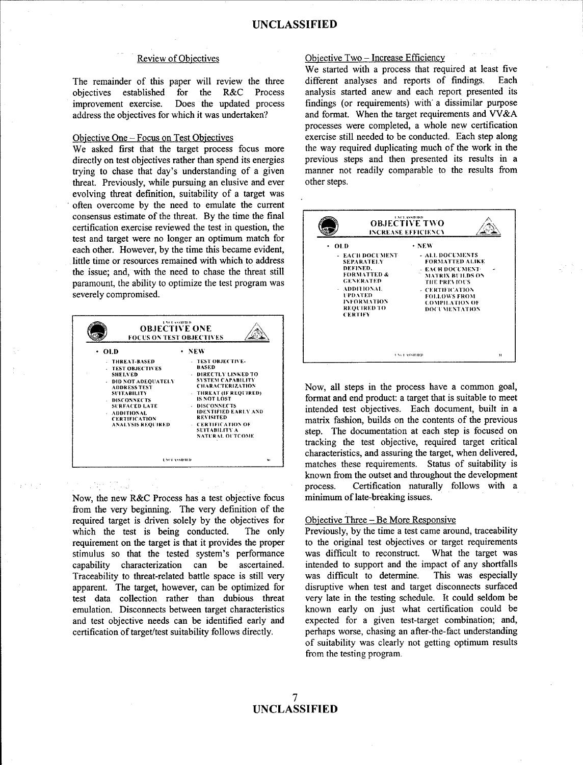## **Review of Objectives**

The remainder of this paper will review the three established for the R&C objectives Process improvement exercise. Does the updated process address the objectives for which it was undertaken?

## Objective One - Focus on Test Objectives

We asked first that the target process focus more directly on test objectives rather than spend its energies trying to chase that day's understanding of a given threat. Previously, while pursuing an elusive and ever evolving threat definition, suitability of a target was often overcome by the need to emulate the current consensus estimate of the threat. By the time the final certification exercise reviewed the test in question, the test and target were no longer an optimum match for each other. However, by the time this became evident, little time or resources remained with which to address the issue; and, with the need to chase the threat still paramount, the ability to optimize the test program was severely compromised.



Now, the new R&C Process has a test objective focus from the very beginning. The very definition of the required target is driven solely by the objectives for which the test is being conducted. The only requirement on the target is that it provides the proper stimulus so that the tested system's performance capability characterization can be ascertained. Traceability to threat-related battle space is still very apparent. The target, however, can be optimized for test data collection rather than dubious threat emulation. Disconnects between target characteristics and test objective needs can be identified early and certification of target/test suitability follows directly.

## Objective Two - Increase Efficiency

We started with a process that required at least five different analyses and reports of findings. Each analysis started anew and each report presented its findings (or requirements) with a dissimilar purpose and format. When the target requirements and VV&A processes were completed, a whole new certification exercise still needed to be conducted. Each step along the way required duplicating much of the work in the previous steps and then presented its results in a manner not readily comparable to the results from other steps.



Now, all steps in the process have a common goal, format and end product: a target that is suitable to meet intended test objectives. Each document, built in a matrix fashion, builds on the contents of the previous step. The documentation at each step is focused on tracking the test objective, required target critical characteristics, and assuring the target, when delivered, matches these requirements. Status of suitability is known from the outset and throughout the development process. Certification naturally follows with a minimum of late-breaking issues.

## Objective Three – Be More Responsive

Previously, by the time a test came around, traceability to the original test objectives or target requirements was difficult to reconstruct. What the target was intended to support and the impact of any shortfalls was difficult to determine. This was especially disruptive when test and target disconnects surfaced very late in the testing schedule. It could seldom be known early on just what certification could be expected for a given test-target combination; and, perhaps worse, chasing an after-the-fact understanding of suitability was clearly not getting optimum results from the testing program.